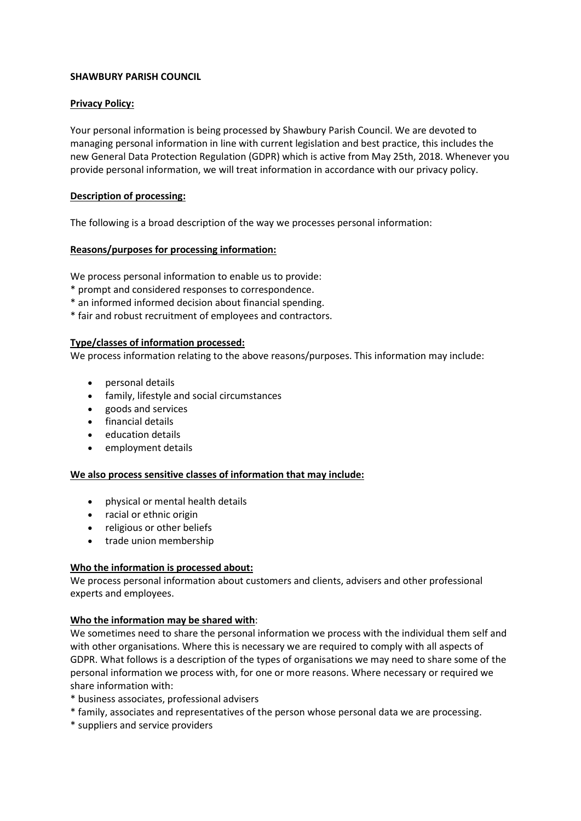# **SHAWBURY PARISH COUNCIL**

## **Privacy Policy:**

Your personal information is being processed by Shawbury Parish Council. We are devoted to managing personal information in line with current legislation and best practice, this includes the new General Data Protection Regulation (GDPR) which is active from May 25th, 2018. Whenever you provide personal information, we will treat information in accordance with our privacy policy.

# **Description of processing:**

The following is a broad description of the way we processes personal information:

# **Reasons/purposes for processing information:**

We process personal information to enable us to provide:

- \* prompt and considered responses to correspondence.
- \* an informed informed decision about financial spending.
- \* fair and robust recruitment of employees and contractors.

# **Type/classes of information processed:**

We process information relating to the above reasons/purposes. This information may include:

- personal details
- family, lifestyle and social circumstances
- goods and services
- **•** financial details
- education details
- employment details

#### **We also process sensitive classes of information that may include:**

- physical or mental health details
- racial or ethnic origin
- religious or other beliefs
- trade union membership

#### **Who the information is processed about:**

We process personal information about customers and clients, advisers and other professional experts and employees.

#### **Who the information may be shared with**:

We sometimes need to share the personal information we process with the individual them self and with other organisations. Where this is necessary we are required to comply with all aspects of GDPR. What follows is a description of the types of organisations we may need to share some of the personal information we process with, for one or more reasons. Where necessary or required we share information with:

- \* business associates, professional advisers
- \* family, associates and representatives of the person whose personal data we are processing.
- \* suppliers and service providers